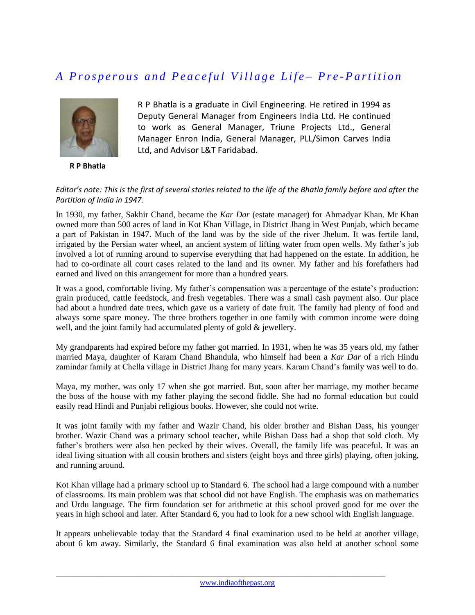## *A P r o s p e r o u s a n d P e a c e f u l V i l l a g e L i f e – P r e -P a r t i t i o n*



 **R P Bhatla**

R P Bhatla is a graduate in Civil Engineering. He retired in 1994 as Deputy General Manager from Engineers India Ltd. He continued to work as General Manager, Triune Projects Ltd., General Manager Enron India, General Manager, PLL/Simon Carves India Ltd, and Advisor L&T Faridabad.

## *Editor's note: This is the first of several stories related to the life of the Bhatla family before and after the Partition of India in 1947.*

In 1930, my father, Sakhir Chand, became the *Kar Dar* (estate manager) for Ahmadyar Khan. Mr Khan owned more than 500 acres of land in Kot Khan Village, in District Jhang in West Punjab, which became a part of Pakistan in 1947. Much of the land was by the side of the river Jhelum. It was fertile land, irrigated by the Persian water wheel, an ancient system of lifting water from open wells. My father's job involved a lot of running around to supervise everything that had happened on the estate. In addition, he had to co-ordinate all court cases related to the land and its owner. My father and his forefathers had earned and lived on this arrangement for more than a hundred years.

It was a good, comfortable living. My father's compensation was a percentage of the estate's production: grain produced, cattle feedstock, and fresh vegetables. There was a small cash payment also. Our place had about a hundred date trees, which gave us a variety of date fruit. The family had plenty of food and always some spare money. The three brothers together in one family with common income were doing well, and the joint family had accumulated plenty of gold  $\&$  jewellery.

My grandparents had expired before my father got married. In 1931, when he was 35 years old, my father married Maya, daughter of Karam Chand Bhandula, who himself had been a *Kar Dar* of a rich Hindu zamindar family at Chella village in District Jhang for many years. Karam Chand's family was well to do.

Maya, my mother, was only 17 when she got married. But, soon after her marriage, my mother became the boss of the house with my father playing the second fiddle. She had no formal education but could easily read Hindi and Punjabi religious books. However, she could not write.

It was joint family with my father and Wazir Chand, his older brother and Bishan Dass, his younger brother. Wazir Chand was a primary school teacher, while Bishan Dass had a shop that sold cloth. My father's brothers were also hen pecked by their wives. Overall, the family life was peaceful. It was an ideal living situation with all cousin brothers and sisters (eight boys and three girls) playing, often joking, and running around.

Kot Khan village had a primary school up to Standard 6. The school had a large compound with a number of classrooms. Its main problem was that school did not have English. The emphasis was on mathematics and Urdu language. The firm foundation set for arithmetic at this school proved good for me over the years in high school and later. After Standard 6, you had to look for a new school with English language.

It appears unbelievable today that the Standard 4 final examination used to be held at another village, about 6 km away. Similarly, the Standard 6 final examination was also held at another school some

 $\_$  ,  $\_$  ,  $\_$  ,  $\_$  ,  $\_$  ,  $\_$  ,  $\_$  ,  $\_$  ,  $\_$  ,  $\_$  ,  $\_$  ,  $\_$  ,  $\_$  ,  $\_$  ,  $\_$  ,  $\_$  ,  $\_$  ,  $\_$  ,  $\_$  ,  $\_$  ,  $\_$  ,  $\_$  ,  $\_$  ,  $\_$  ,  $\_$  ,  $\_$  ,  $\_$  ,  $\_$  ,  $\_$  ,  $\_$  ,  $\_$  ,  $\_$  ,  $\_$  ,  $\_$  ,  $\_$  ,  $\_$  ,  $\_$  ,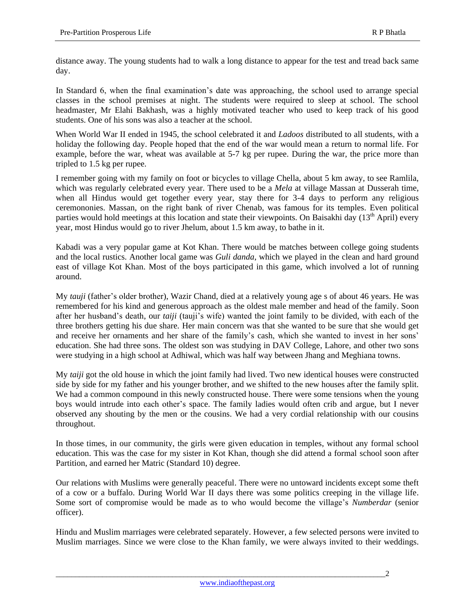distance away. The young students had to walk a long distance to appear for the test and tread back same day.

In Standard 6, when the final examination's date was approaching, the school used to arrange special classes in the school premises at night. The students were required to sleep at school. The school headmaster, Mr Elahi Bakhash, was a highly motivated teacher who used to keep track of his good students. One of his sons was also a teacher at the school.

When World War II ended in 1945, the school celebrated it and *Ladoos* distributed to all students, with a holiday the following day. People hoped that the end of the war would mean a return to normal life. For example, before the war, wheat was available at 5-7 kg per rupee. During the war, the price more than tripled to 1.5 kg per rupee.

I remember going with my family on foot or bicycles to village Chella, about 5 km away, to see Ramlila, which was regularly celebrated every year. There used to be a *Mela* at village Massan at Dusserah time, when all Hindus would get together every year, stay there for 3-4 days to perform any religious ceremononies. Massan, on the right bank of river Chenab, was famous for its temples. Even political parties would hold meetings at this location and state their viewpoints. On Baisakhi day  $(13<sup>th</sup>$  April) every year, most Hindus would go to river Jhelum, about 1.5 km away, to bathe in it.

Kabadi was a very popular game at Kot Khan. There would be matches between college going students and the local rustics. Another local game was *Guli danda*, which we played in the clean and hard ground east of village Kot Khan. Most of the boys participated in this game, which involved a lot of running around.

My *tauji* (father's older brother), Wazir Chand, died at a relatively young age s of about 46 years. He was remembered for his kind and generous approach as the oldest male member and head of the family. Soon after her husband's death, our *taiji* (tauji's wife) wanted the joint family to be divided, with each of the three brothers getting his due share. Her main concern was that she wanted to be sure that she would get and receive her ornaments and her share of the family's cash, which she wanted to invest in her sons' education. She had three sons. The oldest son was studying in DAV College, Lahore, and other two sons were studying in a high school at Adhiwal, which was half way between Jhang and Meghiana towns.

My *taiji* got the old house in which the joint family had lived. Two new identical houses were constructed side by side for my father and his younger brother, and we shifted to the new houses after the family split. We had a common compound in this newly constructed house. There were some tensions when the young boys would intrude into each other's space. The family ladies would often crib and argue, but I never observed any shouting by the men or the cousins. We had a very cordial relationship with our cousins throughout.

In those times, in our community, the girls were given education in temples, without any formal school education. This was the case for my sister in Kot Khan, though she did attend a formal school soon after Partition, and earned her Matric (Standard 10) degree.

Our relations with Muslims were generally peaceful. There were no untoward incidents except some theft of a cow or a buffalo. During World War II days there was some politics creeping in the village life. Some sort of compromise would be made as to who would become the village's *Numberdar* (senior officer).

Hindu and Muslim marriages were celebrated separately. However, a few selected persons were invited to Muslim marriages. Since we were close to the Khan family, we were always invited to their weddings.